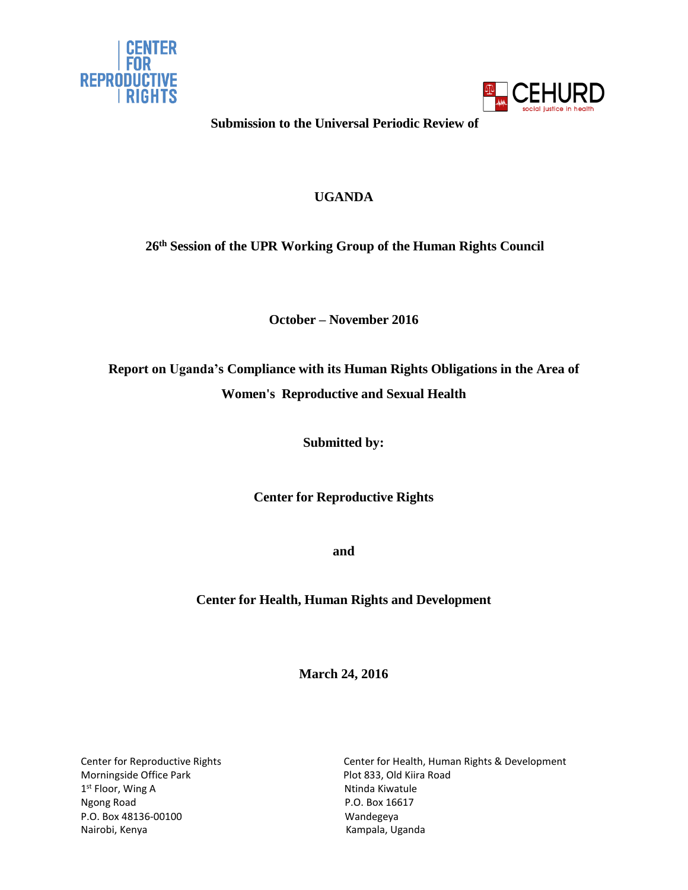



**Submission to the Universal Periodic Review of**

# **UGANDA**

**26 th Session of the UPR Working Group of the Human Rights Council**

**October – November 2016**

**Report on Uganda's Compliance with its Human Rights Obligations in the Area of Women's Reproductive and Sexual Health**

**Submitted by:**

**Center for Reproductive Rights**

**and**

# **Center for Health, Human Rights and Development**

**March 24, 2016**

Morningside Office Park **Plot 833, Old Kiira Road** 1<sup>st</sup> Floor, Wing A Number 2016 1997 1998 Number 2016 Ngong Road **P.O. Box 16617** P.O. Box 48136-00100 Wandegeya Nairobi, Kenya **Kampala, Uganda** 

Center for Reproductive Rights Center for Health, Human Rights & Development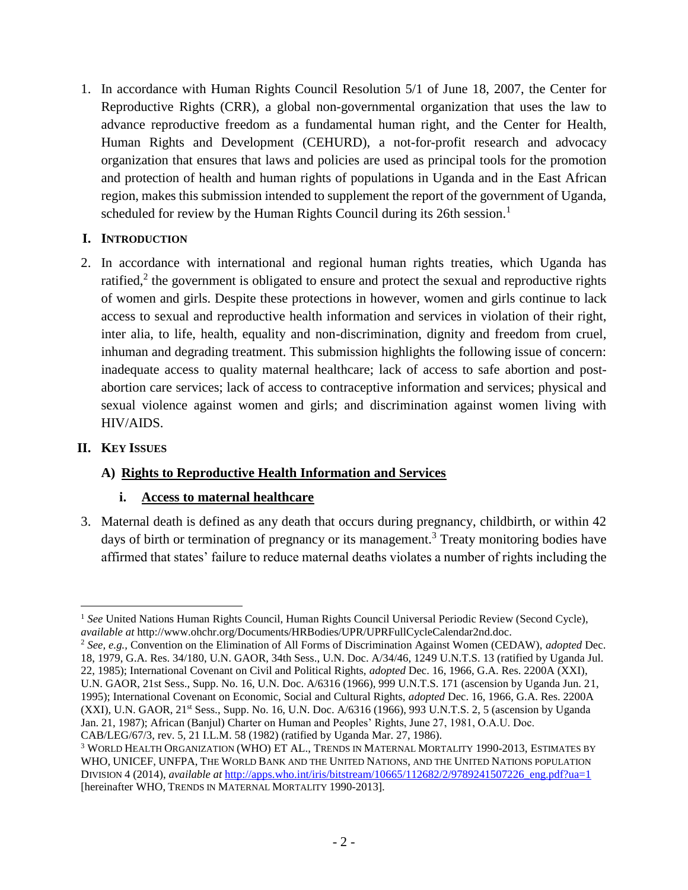1. In accordance with Human Rights Council Resolution 5/1 of June 18, 2007, the Center for Reproductive Rights (CRR), a global non-governmental organization that uses the law to advance reproductive freedom as a fundamental human right, and the Center for Health, Human Rights and Development (CEHURD), a not-for-profit research and advocacy organization that ensures that laws and policies are used as principal tools for the promotion and protection of health and human rights of populations in Uganda and in the East African region, makes this submission intended to supplement the report of the government of Uganda, scheduled for review by the Human Rights Council during its 26th session.<sup>1</sup>

## **I. INTRODUCTION**

2. In accordance with international and regional human rights treaties, which Uganda has ratified, $2$  the government is obligated to ensure and protect the sexual and reproductive rights of women and girls. Despite these protections in however, women and girls continue to lack access to sexual and reproductive health information and services in violation of their right, inter alia, to life, health, equality and non-discrimination, dignity and freedom from cruel, inhuman and degrading treatment. This submission highlights the following issue of concern: inadequate access to quality maternal healthcare; lack of access to safe abortion and postabortion care services; lack of access to contraceptive information and services; physical and sexual violence against women and girls; and discrimination against women living with HIV/AIDS.

### **II. KEY ISSUES**

 $\overline{a}$ 

# **A) Rights to Reproductive Health Information and Services**

# **i. Access to maternal healthcare**

3. Maternal death is defined as any death that occurs during pregnancy, childbirth, or within 42 days of birth or termination of pregnancy or its management.<sup>3</sup> Treaty monitoring bodies have affirmed that states' failure to reduce maternal deaths violates a number of rights including the

<sup>&</sup>lt;sup>1</sup> See United Nations Human Rights Council, Human Rights Council Universal Periodic Review (Second Cycle), *available at* http://www.ohchr.org/Documents/HRBodies/UPR/UPRFullCycleCalendar2nd.doc.

<sup>2</sup> *See, e.g.,* Convention on the Elimination of All Forms of Discrimination Against Women (CEDAW), *adopted* Dec. 18, 1979, G.A. Res. 34/180, U.N. GAOR, 34th Sess., U.N. Doc. A/34/46, 1249 U.N.T.S. 13 (ratified by Uganda Jul. 22, 1985); International Covenant on Civil and Political Rights, *adopted* Dec. 16, 1966, G.A. Res. 2200A (XXI), U.N. GAOR, 21st Sess., Supp. No. 16, U.N. Doc. A/6316 (1966), 999 U.N.T.S. 171 (ascension by Uganda Jun. 21, 1995); International Covenant on Economic, Social and Cultural Rights, *adopted* Dec. 16, 1966, G.A. Res. 2200A (XXI), U.N. GAOR, 21<sup>st</sup> Sess., Supp. No. 16, U.N. Doc. A/6316 (1966), 993 U.N.T.S. 2, 5 (ascension by Uganda Jan. 21, 1987); African (Banjul) Charter on Human and Peoples' Rights, June 27, 1981, O.A.U. Doc. CAB/LEG/67/3, rev. 5, 21 I.L.M. 58 (1982) (ratified by Uganda Mar. 27, 1986).

<sup>3</sup> WORLD HEALTH ORGANIZATION (WHO) ET AL., TRENDS IN MATERNAL MORTALITY 1990-2013, ESTIMATES BY WHO, UNICEF, UNFPA, THE WORLD BANK AND THE UNITED NATIONS, AND THE UNITED NATIONS POPULATION DIVISION 4 (2014), *available at* [http://apps.who.int/iris/bitstream/10665/112682/2/9789241507226\\_eng.pdf?ua=1](http://apps.who.int/iris/bitstream/10665/112682/2/9789241507226_eng.pdf?ua=1) [hereinafter WHO, TRENDS IN MATERNAL MORTALITY 1990-2013].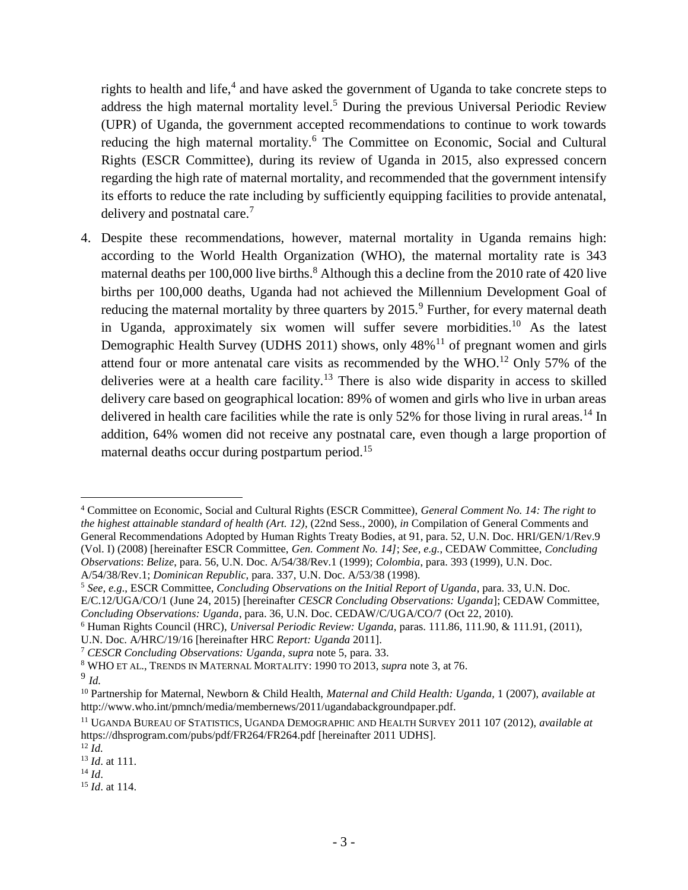rights to health and life, $4$  and have asked the government of Uganda to take concrete steps to address the high maternal mortality level.<sup>5</sup> During the previous Universal Periodic Review (UPR) of Uganda, the government accepted recommendations to continue to work towards reducing the high maternal mortality.<sup>6</sup> The Committee on Economic, Social and Cultural Rights (ESCR Committee), during its review of Uganda in 2015, also expressed concern regarding the high rate of maternal mortality, and recommended that the government intensify its efforts to reduce the rate including by sufficiently equipping facilities to provide antenatal, delivery and postnatal care.<sup>7</sup>

4. Despite these recommendations, however, maternal mortality in Uganda remains high: according to the World Health Organization (WHO), the maternal mortality rate is 343 maternal deaths per 100,000 live births.<sup>8</sup> Although this a decline from the 2010 rate of 420 live births per 100,000 deaths, Uganda had not achieved the Millennium Development Goal of reducing the maternal mortality by three quarters by  $2015<sup>9</sup>$  Further, for every maternal death in Uganda, approximately six women will suffer severe morbidities. <sup>10</sup> As the latest Demographic Health Survey (UDHS 2011) shows, only  $48\%$ <sup>11</sup> of pregnant women and girls attend four or more antenatal care visits as recommended by the WHO.<sup>12</sup> Only 57% of the deliveries were at a health care facility.<sup>13</sup> There is also wide disparity in access to skilled delivery care based on geographical location: 89% of women and girls who live in urban areas delivered in health care facilities while the rate is only 52% for those living in rural areas.<sup>14</sup> In addition, 64% women did not receive any postnatal care, even though a large proportion of maternal deaths occur during postpartum period.<sup>15</sup>

 $\overline{a}$ <sup>4</sup> Committee on Economic, Social and Cultural Rights (ESCR Committee), *General Comment No. 14: The right to the highest attainable standard of health (Art. 12)*, (22nd Sess., 2000), *in* Compilation of General Comments and General Recommendations Adopted by Human Rights Treaty Bodies, at 91, para. 52, U.N. Doc. HRI/GEN/1/Rev.9 (Vol. I) (2008) [hereinafter ESCR Committee, *Gen. Comment No. 14]*; *See, e.g.*, CEDAW Committee, *Concluding Observations*: *Belize*, para. 56, U.N. Doc. A/54/38/Rev.1 (1999); *Colombia*, para. 393 (1999), U.N. Doc. A/54/38/Rev.1; *Dominican Republic,* para. 337, U.N. Doc. A/53/38 (1998).

<sup>5</sup> *See, e.g*., ESCR Committee, *Concluding Observations on the Initial Report of Uganda*, para. 33, U.N. Doc.

E/C.12/UGA/CO/1 (June 24, 2015) [hereinafter *CESCR Concluding Observations: Uganda*]; CEDAW Committee, *Concluding Observations: Uganda*, para. 36, U.N. Doc. CEDAW/C/UGA/CO/7 (Oct 22, 2010).

<sup>6</sup> Human Rights Council (HRC), *Universal Periodic Review: Uganda*, paras. 111.86, 111.90, & 111.91, (2011),

U.N. Doc. A/HRC/19/16 [hereinafter HRC *Report: Uganda* 2011].

<sup>7</sup> *CESCR Concluding Observations: Uganda*, *supra* note 5, para. 33.

<sup>8</sup> WHO ET AL., TRENDS IN MATERNAL MORTALITY: 1990 TO 2013, *supra* note 3, at 76.

<sup>9</sup> *Id.*

<sup>10</sup> Partnership for Maternal, Newborn & Child Health, *Maternal and Child Health: Uganda,* 1 (2007), *available at* http://www.who.int/pmnch/media/membernews/2011/ugandabackgroundpaper.pdf.

<sup>11</sup> UGANDA BUREAU OF STATISTICS, UGANDA DEMOGRAPHIC AND HEALTH SURVEY 2011 107 (2012), *available at* https://dhsprogram.com/pubs/pdf/FR264/FR264.pdf [hereinafter 2011 UDHS].

<sup>12</sup> *Id.*

<sup>13</sup> *Id*. at 111.

<sup>14</sup> *Id*.

<sup>15</sup> *Id*. at 114.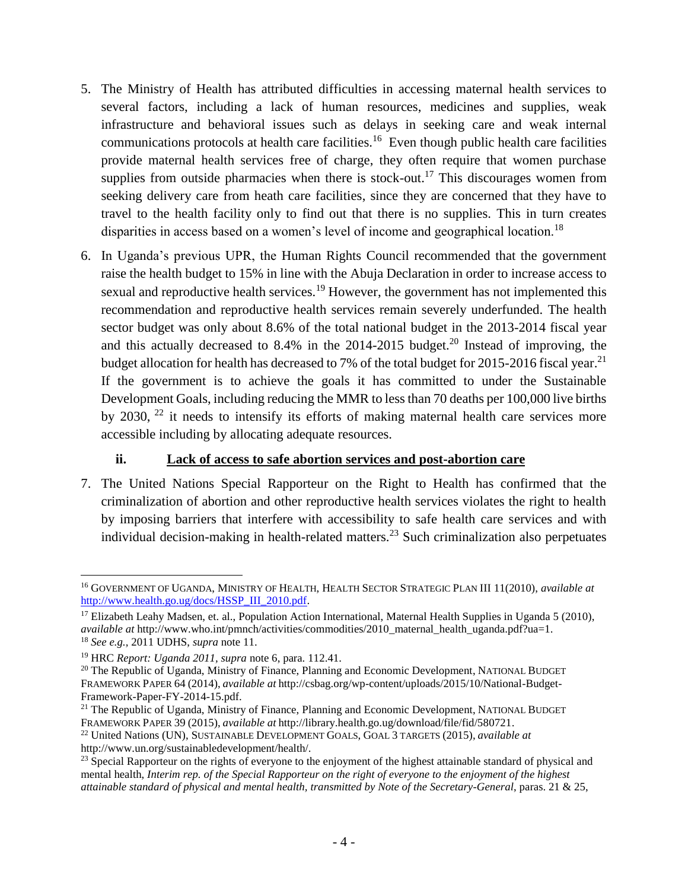- 5. The Ministry of Health has attributed difficulties in accessing maternal health services to several factors, including a lack of human resources, medicines and supplies, weak infrastructure and behavioral issues such as delays in seeking care and weak internal communications protocols at health care facilities.<sup>16</sup> Even though public health care facilities provide maternal health services free of charge, they often require that women purchase supplies from outside pharmacies when there is stock-out.<sup>17</sup> This discourages women from seeking delivery care from heath care facilities, since they are concerned that they have to travel to the health facility only to find out that there is no supplies. This in turn creates disparities in access based on a women's level of income and geographical location.<sup>18</sup>
- 6. In Uganda's previous UPR, the Human Rights Council recommended that the government raise the health budget to 15% in line with the Abuja Declaration in order to increase access to sexual and reproductive health services.<sup>19</sup> However, the government has not implemented this recommendation and reproductive health services remain severely underfunded. The health sector budget was only about 8.6% of the total national budget in the 2013-2014 fiscal year and this actually decreased to 8.4% in the 2014-2015 budget.<sup>20</sup> Instead of improving, the budget allocation for health has decreased to 7% of the total budget for 2015-2016 fiscal year.<sup>21</sup> If the government is to achieve the goals it has committed to under the Sustainable Development Goals, including reducing the MMR to less than 70 deaths per 100,000 live births by 2030, <sup>22</sup> it needs to intensify its efforts of making maternal health care services more accessible including by allocating adequate resources.

# **ii. Lack of access to safe abortion services and post-abortion care**

7. The United Nations Special Rapporteur on the Right to Health has confirmed that the criminalization of abortion and other reproductive health services violates the right to health by imposing barriers that interfere with accessibility to safe health care services and with individual decision-making in health-related matters.<sup>23</sup> Such criminalization also perpetuates

 $\overline{a}$ <sup>16</sup> GOVERNMENT OF UGANDA, MINISTRY OF HEALTH, HEALTH SECTOR STRATEGIC PLAN III 11(2010), *available at*  [http://www.health.go.ug/docs/HSSP\\_III\\_2010.pdf.](http://www.health.go.ug/docs/HSSP_III_2010.pdf)

<sup>&</sup>lt;sup>17</sup> Elizabeth Leahy Madsen, et. al., Population Action International, Maternal Health Supplies in Uganda 5 (2010), *available at* http://www.who.int/pmnch/activities/commodities/2010\_maternal\_health\_uganda.pdf?ua=1. <sup>18</sup> *See e.g.,* 2011 UDHS, *supra* note 11.

<sup>19</sup> HRC *Report: Uganda 2011, supra* note 6, para. 112.41.

<sup>&</sup>lt;sup>20</sup> The Republic of Uganda, Ministry of Finance, Planning and Economic Development, NATIONAL BUDGET FRAMEWORK PAPER 64 (2014), *available at* http://csbag.org/wp-content/uploads/2015/10/National-Budget-Framework-Paper-FY-2014-15.pdf.

 $21$  The Republic of Uganda, Ministry of Finance, Planning and Economic Development, NATIONAL BUDGET FRAMEWORK PAPER 39 (2015), *available at* http://library.health.go.ug/download/file/fid/580721.

<sup>22</sup> United Nations (UN), SUSTAINABLE DEVELOPMENT GOALS, GOAL 3 TARGETS (2015), *available at*  http://www.un.org/sustainabledevelopment/health/.

<sup>&</sup>lt;sup>23</sup> Special Rapporteur on the rights of everyone to the enjoyment of the highest attainable standard of physical and mental health, *Interim rep. of the Special Rapporteur on the right of everyone to the enjoyment of the highest attainable standard of physical and mental health, transmitted by Note of the Secretary-General*, paras. 21 & 25,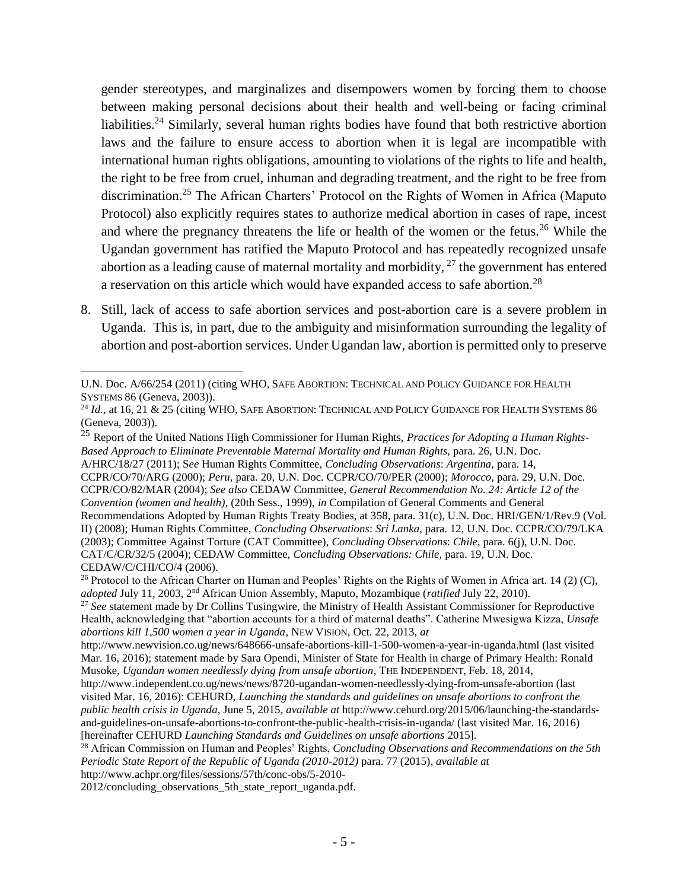gender stereotypes, and marginalizes and disempowers women by forcing them to choose between making personal decisions about their health and well-being or facing criminal liabilities.<sup>24</sup> Similarly, several human rights bodies have found that both restrictive abortion laws and the failure to ensure access to abortion when it is legal are incompatible with international human rights obligations, amounting to violations of the rights to life and health, the right to be free from cruel, inhuman and degrading treatment, and the right to be free from discrimination.<sup>25</sup> The African Charters' Protocol on the Rights of Women in Africa (Maputo Protocol) also explicitly requires states to authorize medical abortion in cases of rape, incest and where the pregnancy threatens the life or health of the women or the fetus.<sup>26</sup> While the Ugandan government has ratified the Maputo Protocol and has repeatedly recognized unsafe abortion as a leading cause of maternal mortality and morbidity,  $27$  the government has entered a reservation on this article which would have expanded access to safe abortion.<sup>28</sup>

8. Still, lack of access to safe abortion services and post-abortion care is a severe problem in Uganda. This is, in part, due to the ambiguity and misinformation surrounding the legality of abortion and post-abortion services. Under Ugandan law, abortion is permitted only to preserve

<sup>25</sup> Report of the United Nations High Commissioner for Human Rights, *Practices for Adopting a Human Rights-Based Approach to Eliminate Preventable Maternal Mortality and Human Rights,* para. 26, U.N. Doc. A/HRC/18/27 (2011); S*ee* Human Rights Committee, *Concluding Observations*: *Argentina,* para. 14, CCPR/CO/70/ARG (2000); *Peru,* para. 20, U.N. Doc. CCPR/CO/70/PER (2000); *Morocco,* para. 29, U.N. Doc. CCPR/CO/82/MAR (2004); *See also* CEDAW Committee, *General Recommendation No. 24: Article 12 of the Convention (women and health)*, (20th Sess., 1999), *in* Compilation of General Comments and General Recommendations Adopted by Human Rights Treaty Bodies, at 358, para. 31(c), U.N. Doc. HRI/GEN/1/Rev.9 (Vol. II) (2008); Human Rights Committee, *Concluding Observations*: *Sri Lanka,* para. 12, U.N. Doc. CCPR/CO/79/LKA (2003); Committee Against Torture (CAT Committee), *Concluding Observations*: *Chile,* para. 6(j), U.N. Doc. CAT/C/CR/32/5 (2004); CEDAW Committee, *Concluding Observations: Chile,* para. 19, U.N. Doc. CEDAW/C/CHI/CO/4 (2006).

<sup>27</sup> See statement made by Dr Collins Tusingwire, the Ministry of Health Assistant Commissioner for Reproductive Health, acknowledging that "abortion accounts for a third of maternal deaths". Catherine Mwesigwa Kizza, *Unsafe abortions kill 1,500 women a year in Uganda*, NEW VISION, Oct. 22, 2013, *at* 

2012/concluding\_observations\_5th\_state\_report\_uganda.pdf.

U.N. Doc. A/66/254 (2011) (citing WHO, SAFE ABORTION: TECHNICAL AND POLICY GUIDANCE FOR HEALTH SYSTEMS 86 (Geneva, 2003)).

<sup>&</sup>lt;sup>24</sup> *Id.*, at 16, 21 & 25 (citing WHO, SAFE ABORTION: TECHNICAL AND POLICY GUIDANCE FOR HEALTH SYSTEMS 86 (Geneva, 2003)).

<sup>&</sup>lt;sup>26</sup> Protocol to the African Charter on Human and Peoples' Rights on the Rights of Women in Africa art. 14 (2) (C), *adopted* July 11, 2003, 2nd African Union Assembly, Maputo, Mozambique (*ratified* July 22, 2010).

http://www.newvision.co.ug/news/648666-unsafe-abortions-kill-1-500-women-a-year-in-uganda.html (last visited Mar. 16, 2016); statement made by Sara Opendi, Minister of State for Health in charge of Primary Health: Ronald Musoke, *Ugandan women needlessly dying from unsafe abortion*, THE INDEPENDENT, Feb. 18, 2014,

http://www.independent.co.ug/news/news/8720-ugandan-women-needlessly-dying-from-unsafe-abortion (last visited Mar. 16, 2016): CEHURD, *Launching the standards and guidelines on unsafe abortions to confront the public health crisis in Uganda*, June 5, 2015, *available at* http://www.cehurd.org/2015/06/launching-the-standardsand-guidelines-on-unsafe-abortions-to-confront-the-public-health-crisis-in-uganda/ (last visited Mar. 16, 2016) [hereinafter CEHURD *Launching Standards and Guidelines on unsafe abortions* 2015].

<sup>28</sup> African Commission on Human and Peoples' Rights, *Concluding Observations and Recommendations on the 5th Periodic State Report of the Republic of Uganda (2010-2012)* para. 77 (2015), *available at*  http://www.achpr.org/files/sessions/57th/conc-obs/5-2010-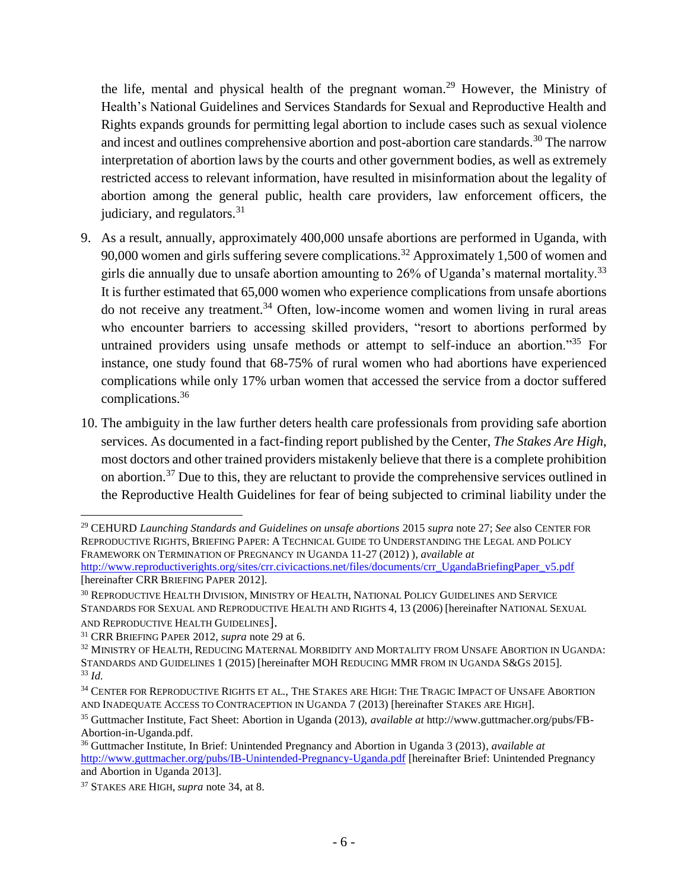the life, mental and physical health of the pregnant woman.<sup>29</sup> However, the Ministry of Health's National Guidelines and Services Standards for Sexual and Reproductive Health and Rights expands grounds for permitting legal abortion to include cases such as sexual violence and incest and outlines comprehensive abortion and post-abortion care standards.<sup>30</sup> The narrow interpretation of abortion laws by the courts and other government bodies, as well as extremely restricted access to relevant information, have resulted in misinformation about the legality of abortion among the general public, health care providers, law enforcement officers, the judiciary, and regulators. $31$ 

- 9. As a result, annually, approximately 400,000 unsafe abortions are performed in Uganda, with 90,000 women and girls suffering severe complications.<sup>32</sup> Approximately 1,500 of women and girls die annually due to unsafe abortion amounting to  $26\%$  of Uganda's maternal mortality.<sup>33</sup> It is further estimated that 65,000 women who experience complications from unsafe abortions do not receive any treatment.<sup>34</sup> Often, low-income women and women living in rural areas who encounter barriers to accessing skilled providers, "resort to abortions performed by untrained providers using unsafe methods or attempt to self-induce an abortion."<sup>35</sup> For instance, one study found that 68-75% of rural women who had abortions have experienced complications while only 17% urban women that accessed the service from a doctor suffered complications. 36
- 10. The ambiguity in the law further deters health care professionals from providing safe abortion services. As documented in a fact-finding report published by the Center, *The Stakes Are High*, most doctors and other trained providers mistakenly believe that there is a complete prohibition on abortion.<sup>37</sup> Due to this, they are reluctant to provide the comprehensive services outlined in the Reproductive Health Guidelines for fear of being subjected to criminal liability under the

[hereinafter CRR BRIEFING PAPER 2012].

 $\overline{a}$ <sup>29</sup> CEHURD *Launching Standards and Guidelines on unsafe abortions* 2015 *supra* note 27; *See* also CENTER FOR REPRODUCTIVE RIGHTS, BRIEFING PAPER: A TECHNICAL GUIDE TO UNDERSTANDING THE LEGAL AND POLICY FRAMEWORK ON TERMINATION OF PREGNANCY IN UGANDA 11-27 (2012) ), *available at*  [http://www.reproductiverights.org/sites/crr.civicactions.net/files/documents/crr\\_UgandaBriefingPaper\\_v5.pdf](http://www.reproductiverights.org/sites/crr.civicactions.net/files/documents/crr_UgandaBriefingPaper_v5.pdf)

<sup>30</sup> REPRODUCTIVE HEALTH DIVISION, MINISTRY OF HEALTH, NATIONAL POLICY GUIDELINES AND SERVICE STANDARDS FOR SEXUAL AND REPRODUCTIVE HEALTH AND RIGHTS 4, 13 (2006) [hereinafter NATIONAL SEXUAL AND REPRODUCTIVE HEALTH GUIDELINES].

<sup>31</sup> CRR BRIEFING PAPER 2012, *supra* note 29 at 6.

<sup>32</sup> MINISTRY OF HEALTH, REDUCING MATERNAL MORBIDITY AND MORTALITY FROM UNSAFE ABORTION IN UGANDA: STANDARDS AND GUIDELINES 1 (2015) [hereinafter MOH REDUCING MMR FROM IN UGANDA S&GS 2015]. <sup>33</sup> *Id.*

<sup>34</sup> CENTER FOR REPRODUCTIVE RIGHTS ET AL., THE STAKES ARE HIGH: THE TRAGIC IMPACT OF UNSAFE ABORTION AND INADEQUATE ACCESS TO CONTRACEPTION IN UGANDA 7 (2013) [hereinafter STAKES ARE HIGH].

<sup>35</sup> Guttmacher Institute, Fact Sheet: Abortion in Uganda (2013), *available at* http://www.guttmacher.org/pubs/FB-Abortion-in-Uganda.pdf.

<sup>36</sup> Guttmacher Institute, In Brief: Unintended Pregnancy and Abortion in Uganda 3 (2013), *available at* <http://www.guttmacher.org/pubs/IB-Unintended-Pregnancy-Uganda.pdf> [hereinafter Brief: Unintended Pregnancy and Abortion in Uganda 2013].

<sup>37</sup> STAKES ARE HIGH, *supra* note 34, at 8.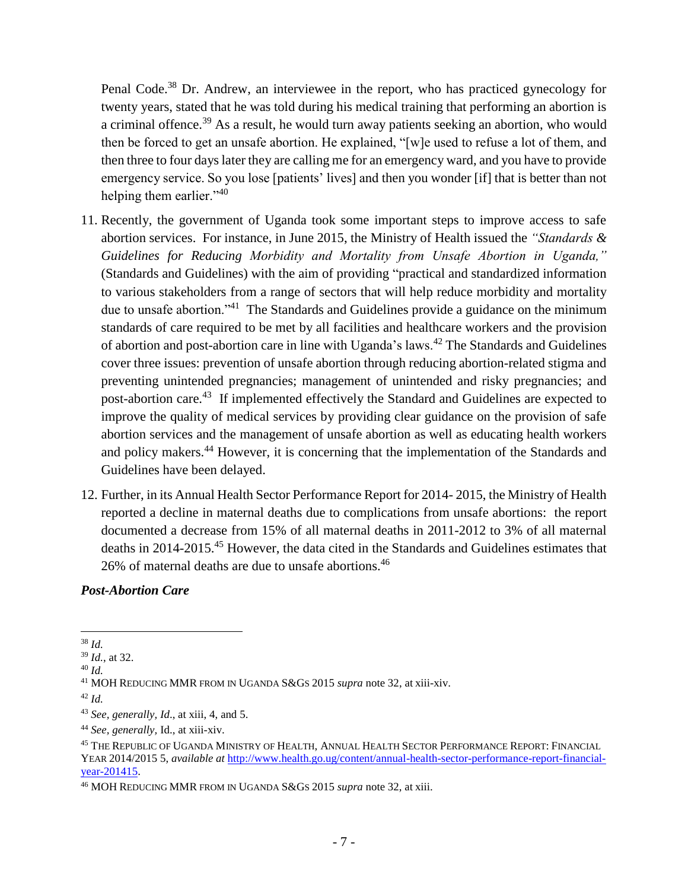Penal Code.<sup>38</sup> Dr. Andrew, an interviewee in the report, who has practiced gynecology for twenty years, stated that he was told during his medical training that performing an abortion is a criminal offence.<sup>39</sup> As a result, he would turn away patients seeking an abortion, who would then be forced to get an unsafe abortion. He explained, "[w]e used to refuse a lot of them, and then three to four days later they are calling me for an emergency ward, and you have to provide emergency service. So you lose [patients' lives] and then you wonder [if] that is better than not helping them earlier."<sup>40</sup>

- 11. Recently, the government of Uganda took some important steps to improve access to safe abortion services. For instance, in June 2015, the Ministry of Health issued the *"Standards & Guidelines for Reducing Morbidity and Mortality from Unsafe Abortion in Uganda,"* (Standards and Guidelines) with the aim of providing "practical and standardized information to various stakeholders from a range of sectors that will help reduce morbidity and mortality due to unsafe abortion."<sup>41</sup> The Standards and Guidelines provide a guidance on the minimum standards of care required to be met by all facilities and healthcare workers and the provision of abortion and post-abortion care in line with Uganda's laws.<sup>42</sup> The Standards and Guidelines cover three issues: prevention of unsafe abortion through reducing abortion-related stigma and preventing unintended pregnancies; management of unintended and risky pregnancies; and post-abortion care.<sup>43</sup> If implemented effectively the Standard and Guidelines are expected to improve the quality of medical services by providing clear guidance on the provision of safe abortion services and the management of unsafe abortion as well as educating health workers and policy makers.<sup>44</sup> However, it is concerning that the implementation of the Standards and Guidelines have been delayed.
- 12. Further, in its Annual Health Sector Performance Report for 2014- 2015, the Ministry of Health reported a decline in maternal deaths due to complications from unsafe abortions: the report documented a decrease from 15% of all maternal deaths in 2011-2012 to 3% of all maternal deaths in 2014-2015. <sup>45</sup> However, the data cited in the Standards and Guidelines estimates that 26% of maternal deaths are due to unsafe abortions.<sup>46</sup>

#### *Post-Abortion Care*

 $\overline{a}$ <sup>38</sup> *Id.*

<sup>39</sup> *Id.*, at 32.

<sup>40</sup> *Id.*

<sup>41</sup> MOH REDUCING MMR FROM IN UGANDA S&GS 2015 *supra* note 32, at xiii-xiv.

<sup>42</sup> *Id.*

<sup>43</sup> *See, generally, Id*., at xiii, 4, and 5.

<sup>44</sup> *See, generally,* Id., at xiii-xiv.

<sup>45</sup> THE REPUBLIC OF UGANDA MINISTRY OF HEALTH, ANNUAL HEALTH SECTOR PERFORMANCE REPORT: FINANCIAL YEAR 2014/2015 5, *available at* [http://www.health.go.ug/content/annual-health-sector-performance-report-financial](http://www.health.go.ug/content/annual-health-sector-performance-report-financial-year-201415)[year-201415.](http://www.health.go.ug/content/annual-health-sector-performance-report-financial-year-201415)

<sup>46</sup> MOH REDUCING MMR FROM IN UGANDA S&GS 2015 *supra* note 32, at xiii.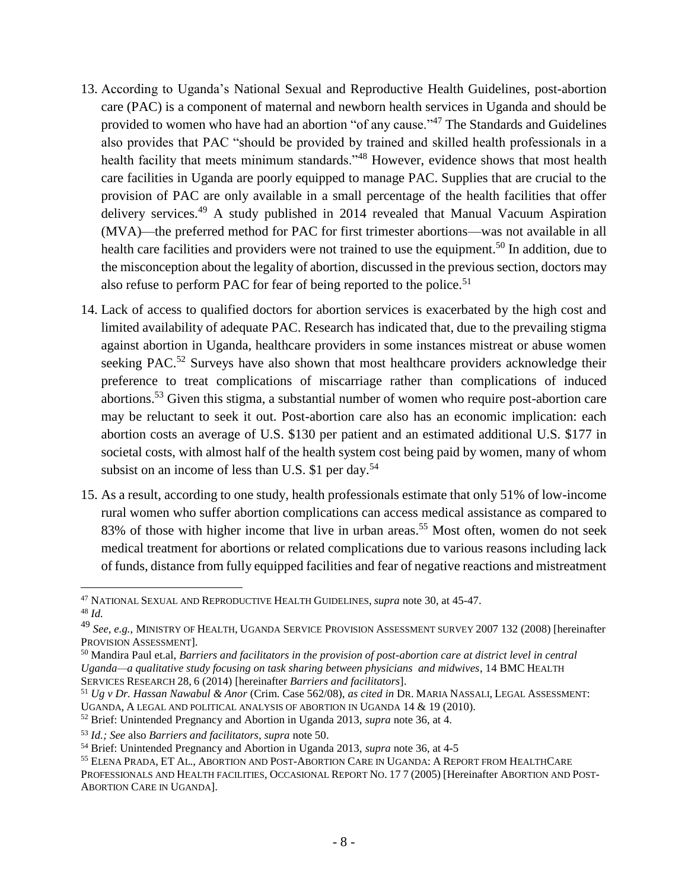- 13. According to Uganda's National Sexual and Reproductive Health Guidelines, post-abortion care (PAC) is a component of maternal and newborn health services in Uganda and should be provided to women who have had an abortion "of any cause."<sup>47</sup> The Standards and Guidelines also provides that PAC "should be provided by trained and skilled health professionals in a health facility that meets minimum standards."<sup>48</sup> However, evidence shows that most health care facilities in Uganda are poorly equipped to manage PAC. Supplies that are crucial to the provision of PAC are only available in a small percentage of the health facilities that offer delivery services.<sup>49</sup> A study published in 2014 revealed that Manual Vacuum Aspiration (MVA)—the preferred method for PAC for first trimester abortions—was not available in all health care facilities and providers were not trained to use the equipment.<sup>50</sup> In addition, due to the misconception about the legality of abortion, discussed in the previous section, doctors may also refuse to perform PAC for fear of being reported to the police.<sup>51</sup>
- 14. Lack of access to qualified doctors for abortion services is exacerbated by the high cost and limited availability of adequate PAC. Research has indicated that, due to the prevailing stigma against abortion in Uganda, healthcare providers in some instances mistreat or abuse women seeking PAC.<sup>52</sup> Surveys have also shown that most healthcare providers acknowledge their preference to treat complications of miscarriage rather than complications of induced abortions.<sup>53</sup> Given this stigma, a substantial number of women who require post-abortion care may be reluctant to seek it out. Post-abortion care also has an economic implication: each abortion costs an average of U.S. \$130 per patient and an estimated additional U.S. \$177 in societal costs, with almost half of the health system cost being paid by women, many of whom subsist on an income of less than U.S.  $$1$  per day.<sup>54</sup>
- 15. As a result, according to one study, health professionals estimate that only 51% of low-income rural women who suffer abortion complications can access medical assistance as compared to 83% of those with higher income that live in urban areas. <sup>55</sup> Most often, women do not seek medical treatment for abortions or related complications due to various reasons including lack of funds, distance from fully equipped facilities and fear of negative reactions and mistreatment

 $\overline{a}$ <sup>47</sup> NATIONAL SEXUAL AND REPRODUCTIVE HEALTH GUIDELINES, *supra* note 30, at 45-47. <sup>48</sup> *Id.*

<sup>49</sup> *See, e.g.,* MINISTRY OF HEALTH, UGANDA SERVICE PROVISION ASSESSMENT SURVEY 2007 132 (2008) [hereinafter PROVISION ASSESSMENT].

<sup>50</sup> Mandira Paul et.al, *Barriers and facilitators in the provision of post-abortion care at district level in central Uganda—a qualitative study focusing on task sharing between physicians and midwives*, 14 BMC HEALTH SERVICES RESEARCH 28, 6 (2014) [hereinafter *Barriers and facilitators*].

<sup>51</sup> *Ug v Dr. Hassan Nawabul & Anor* (Crim. Case 562/08), *as cited in* DR. MARIA NASSALI, LEGAL ASSESSMENT: UGANDA, A LEGAL AND POLITICAL ANALYSIS OF ABORTION IN UGANDA 14 & 19 (2010).

<sup>52</sup> Brief: Unintended Pregnancy and Abortion in Uganda 2013, *supra* note 36, at 4.

<sup>53</sup> *Id.; See* also *Barriers and facilitators, supra* note 50.

<sup>54</sup> Brief: Unintended Pregnancy and Abortion in Uganda 2013, *supra* note 36, at 4-5

<sup>55</sup> ELENA PRADA, ET AL., ABORTION AND POST-ABORTION CARE IN UGANDA: A REPORT FROM HEALTHCARE PROFESSIONALS AND HEALTH FACILITIES, OCCASIONAL REPORT NO. 17 7 (2005) [Hereinafter ABORTION AND POST-ABORTION CARE IN UGANDA].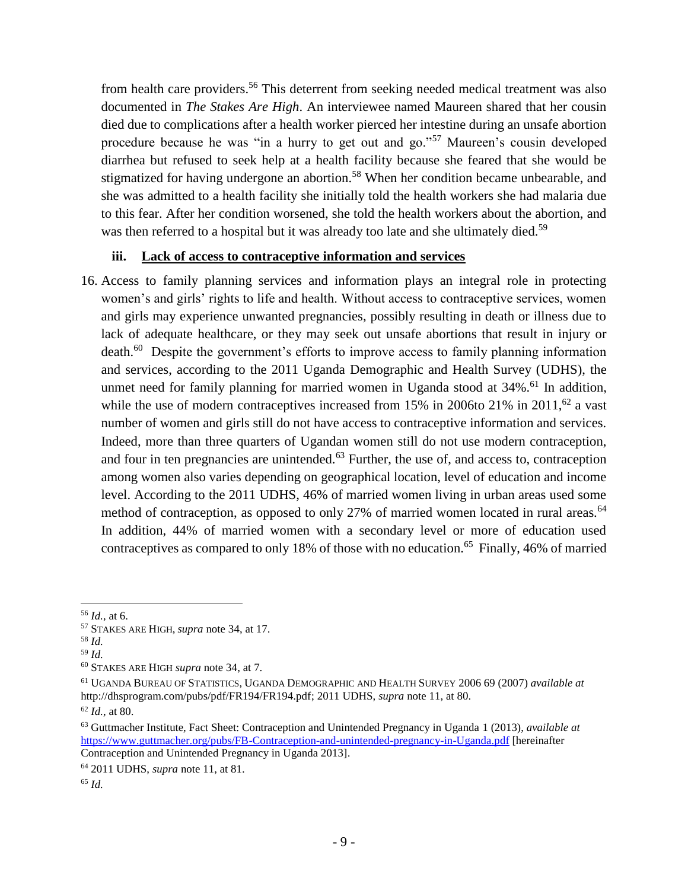from health care providers.<sup>56</sup> This deterrent from seeking needed medical treatment was also documented in *The Stakes Are High*. An interviewee named Maureen shared that her cousin died due to complications after a health worker pierced her intestine during an unsafe abortion procedure because he was "in a hurry to get out and go."<sup>57</sup> Maureen's cousin developed diarrhea but refused to seek help at a health facility because she feared that she would be stigmatized for having undergone an abortion.<sup>58</sup> When her condition became unbearable, and she was admitted to a health facility she initially told the health workers she had malaria due to this fear. After her condition worsened, she told the health workers about the abortion, and was then referred to a hospital but it was already too late and she ultimately died.<sup>59</sup>

## **iii. Lack of access to contraceptive information and services**

16. Access to family planning services and information plays an integral role in protecting women's and girls' rights to life and health. Without access to contraceptive services, women and girls may experience unwanted pregnancies, possibly resulting in death or illness due to lack of adequate healthcare, or they may seek out unsafe abortions that result in injury or death.<sup>60</sup> Despite the government's efforts to improve access to family planning information and services, according to the 2011 Uganda Demographic and Health Survey (UDHS), the unmet need for family planning for married women in Uganda stood at  $34\%$ <sup>61</sup> In addition, while the use of modern contraceptives increased from 15% in 2006to 21% in 2011,<sup>62</sup> a vast number of women and girls still do not have access to contraceptive information and services. Indeed, more than three quarters of Ugandan women still do not use modern contraception, and four in ten pregnancies are unintended.<sup>63</sup> Further, the use of, and access to, contraception among women also varies depending on geographical location, level of education and income level. According to the 2011 UDHS, 46% of married women living in urban areas used some method of contraception, as opposed to only 27% of married women located in rural areas.<sup>64</sup> In addition, 44% of married women with a secondary level or more of education used contraceptives as compared to only 18% of those with no education.<sup>65</sup> Finally, 46% of married

 $\overline{a}$ <sup>56</sup> *Id.,* at 6.

<sup>57</sup> STAKES ARE HIGH, *supra* note 34, at 17.

<sup>58</sup> *Id.*

<sup>59</sup> *Id.*

<sup>60</sup> STAKES ARE HIGH *supra* note 34, at 7.

<sup>61</sup> UGANDA BUREAU OF STATISTICS, UGANDA DEMOGRAPHIC AND HEALTH SURVEY 2006 69 (2007) *available at*  http://dhsprogram.com/pubs/pdf/FR194/FR194.pdf; 2011 UDHS, *supra* note 11, at 80.

<sup>62</sup> *Id.*, at 80.

<sup>63</sup> Guttmacher Institute, Fact Sheet: Contraception and Unintended Pregnancy in Uganda 1 (2013), *available at*  <https://www.guttmacher.org/pubs/FB-Contraception-and-unintended-pregnancy-in-Uganda.pdf> [hereinafter Contraception and Unintended Pregnancy in Uganda 2013].

<sup>64</sup> 2011 UDHS, *supra* note 11, at 81.

<sup>65</sup> *Id.*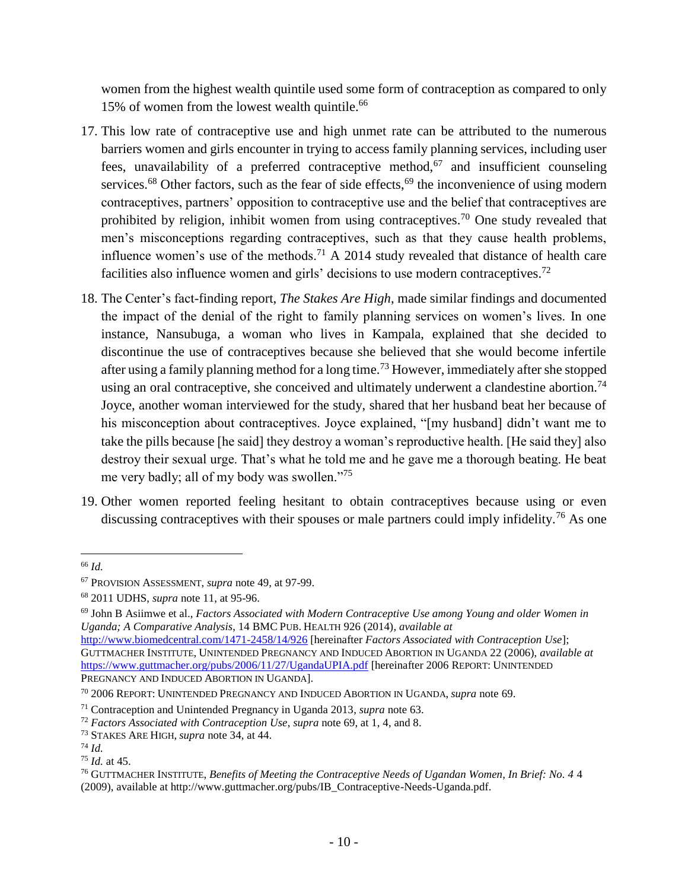women from the highest wealth quintile used some form of contraception as compared to only 15% of women from the lowest wealth quintile.<sup>66</sup>

- 17. This low rate of contraceptive use and high unmet rate can be attributed to the numerous barriers women and girls encounter in trying to access family planning services, including user fees, unavailability of a preferred contraceptive method,  $67$  and insufficient counseling services.<sup>68</sup> Other factors, such as the fear of side effects,<sup>69</sup> the inconvenience of using modern contraceptives, partners' opposition to contraceptive use and the belief that contraceptives are prohibited by religion, inhibit women from using contraceptives.<sup>70</sup> One study revealed that men's misconceptions regarding contraceptives, such as that they cause health problems, influence women's use of the methods.<sup>71</sup> A 2014 study revealed that distance of health care facilities also influence women and girls' decisions to use modern contraceptives.<sup>72</sup>
- 18. The Center's fact-finding report, *The Stakes Are High*, made similar findings and documented the impact of the denial of the right to family planning services on women's lives. In one instance*,* Nansubuga, a woman who lives in Kampala, explained that she decided to discontinue the use of contraceptives because she believed that she would become infertile after using a family planning method for a long time.<sup>73</sup> However, immediately after she stopped using an oral contraceptive, she conceived and ultimately underwent a clandestine abortion.<sup>74</sup> Joyce, another woman interviewed for the study, shared that her husband beat her because of his misconception about contraceptives. Joyce explained, "[my husband] didn't want me to take the pills because [he said] they destroy a woman's reproductive health. [He said they] also destroy their sexual urge. That's what he told me and he gave me a thorough beating. He beat me very badly; all of my body was swollen."<sup>75</sup>
- 19. Other women reported feeling hesitant to obtain contraceptives because using or even discussing contraceptives with their spouses or male partners could imply infidelity.<sup>76</sup> As one

 $\overline{a}$ <sup>66</sup> *Id.* 

<sup>67</sup> PROVISION ASSESSMENT, *supra* note 49, at 97-99.

<sup>68</sup> 2011 UDHS, *supra* note 11, at 95-96.

<sup>69</sup> John B Asiimwe et al., *Factors Associated with Modern Contraceptive Use among Young and older Women in Uganda; A Comparative Analysis*, 14 BMC PUB. HEALTH 926 (2014)*, available at* 

<http://www.biomedcentral.com/1471-2458/14/926> [hereinafter *Factors Associated with Contraception Use*]; GUTTMACHER INSTITUTE, UNINTENDED PREGNANCY AND INDUCED ABORTION IN UGANDA 22 (2006), *available at* <https://www.guttmacher.org/pubs/2006/11/27/UgandaUPIA.pdf> [hereinafter 2006 REPORT: UNINTENDED PREGNANCY AND INDUCED ABORTION IN UGANDA].

<sup>70</sup> 2006 REPORT: UNINTENDED PREGNANCY AND INDUCED ABORTION IN UGANDA, *supra* note 69.

<sup>71</sup> Contraception and Unintended Pregnancy in Uganda 2013, *supra* note 63.

<sup>72</sup> *Factors Associated with Contraception Use*, *supra* note 69, at 1, 4, and 8.

<sup>73</sup> STAKES ARE HIGH, *supra* note 34, at 44.

<sup>74</sup> *Id.* 

<sup>75</sup> *Id.* at 45.

<sup>76</sup> GUTTMACHER INSTITUTE, *Benefits of Meeting the Contraceptive Needs of Ugandan Women, In Brief: No. 4* 4 (2009), available at http://www.guttmacher.org/pubs/IB\_Contraceptive-Needs-Uganda.pdf.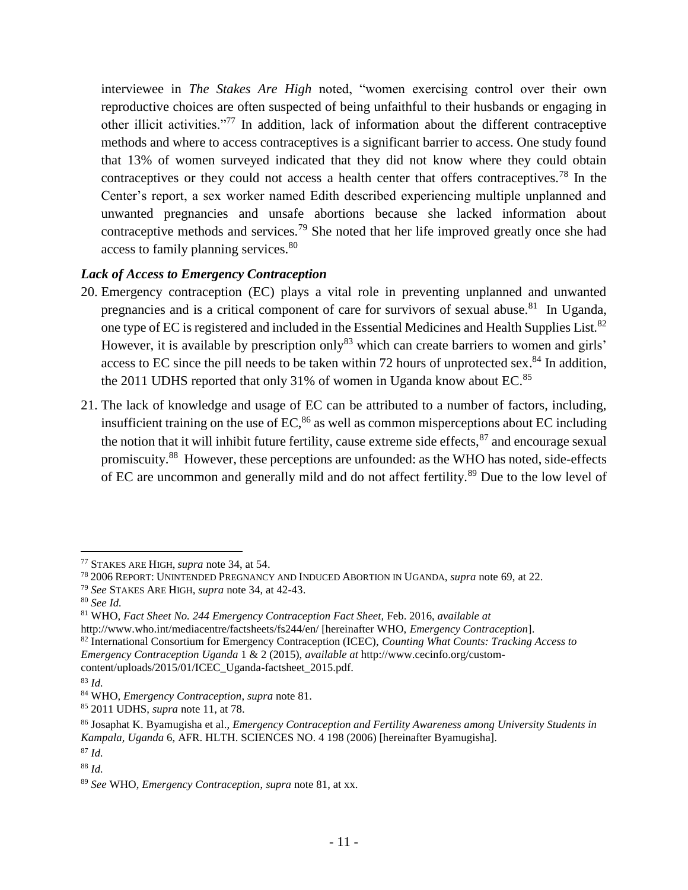interviewee in *The Stakes Are High* noted, "women exercising control over their own reproductive choices are often suspected of being unfaithful to their husbands or engaging in other illicit activities."<sup>77</sup> In addition, lack of information about the different contraceptive methods and where to access contraceptives is a significant barrier to access. One study found that 13% of women surveyed indicated that they did not know where they could obtain contraceptives or they could not access a health center that offers contraceptives.<sup>78</sup> In the Center's report, a sex worker named Edith described experiencing multiple unplanned and unwanted pregnancies and unsafe abortions because she lacked information about contraceptive methods and services.<sup>79</sup> She noted that her life improved greatly once she had access to family planning services.<sup>80</sup>

# *Lack of Access to Emergency Contraception*

- 20. Emergency contraception (EC) plays a vital role in preventing unplanned and unwanted pregnancies and is a critical component of care for survivors of sexual abuse.<sup>81</sup> In Uganda, one type of EC is registered and included in the Essential Medicines and Health Supplies List.<sup>82</sup> However, it is available by prescription only<sup>83</sup> which can create barriers to women and girls' access to EC since the pill needs to be taken within 72 hours of unprotected sex.<sup>84</sup> In addition, the 2011 UDHS reported that only 31% of women in Uganda know about EC.<sup>85</sup>
- 21. The lack of knowledge and usage of EC can be attributed to a number of factors, including, insufficient training on the use of  $EC<sub>66</sub>$  as well as common misperceptions about  $EC$  including the notion that it will inhibit future fertility, cause extreme side effects,  $87$  and encourage sexual promiscuity.<sup>88</sup> However, these perceptions are unfounded: as the WHO has noted, side-effects of EC are uncommon and generally mild and do not affect fertility.<sup>89</sup> Due to the low level of

<sup>77</sup> STAKES ARE HIGH, *supra* note 34, at 54.

<sup>78</sup> 2006 REPORT: UNINTENDED PREGNANCY AND INDUCED ABORTION IN UGANDA, *supra* note 69, at 22.

<sup>79</sup> *See* STAKES ARE HIGH, *supra* note 34, at 42-43.

<sup>80</sup> *See Id.*

<sup>81</sup> WHO, *Fact Sheet No. 244 Emergency Contraception Fact Sheet,* Feb. 2016, *available at*  http://www.who.int/mediacentre/factsheets/fs244/en/ [hereinafter WHO, *Emergency Contraception*].

<sup>82</sup> International Consortium for Emergency Contraception (ICEC), *Counting What Counts: Tracking Access to Emergency Contraception Uganda* 1 & 2 (2015), *available at* http://www.cecinfo.org/customcontent/uploads/2015/01/ICEC\_Uganda-factsheet\_2015.pdf.

<sup>83</sup> *Id.* 

<sup>84</sup> WHO, *Emergency Contraception*, *supra* note 81.

<sup>85</sup> 2011 UDHS, *supra* note 11, at 78.

<sup>86</sup> Josaphat K. Byamugisha et al., *Emergency Contraception and Fertility Awareness among University Students in Kampala, Uganda* 6, AFR. HLTH. SCIENCES NO. 4 198 (2006) [hereinafter Byamugisha].

<sup>87</sup> *Id.* 

<sup>88</sup> *Id.* 

<sup>89</sup> *See* WHO, *Emergency Contraception*, *supra* note 81, at xx.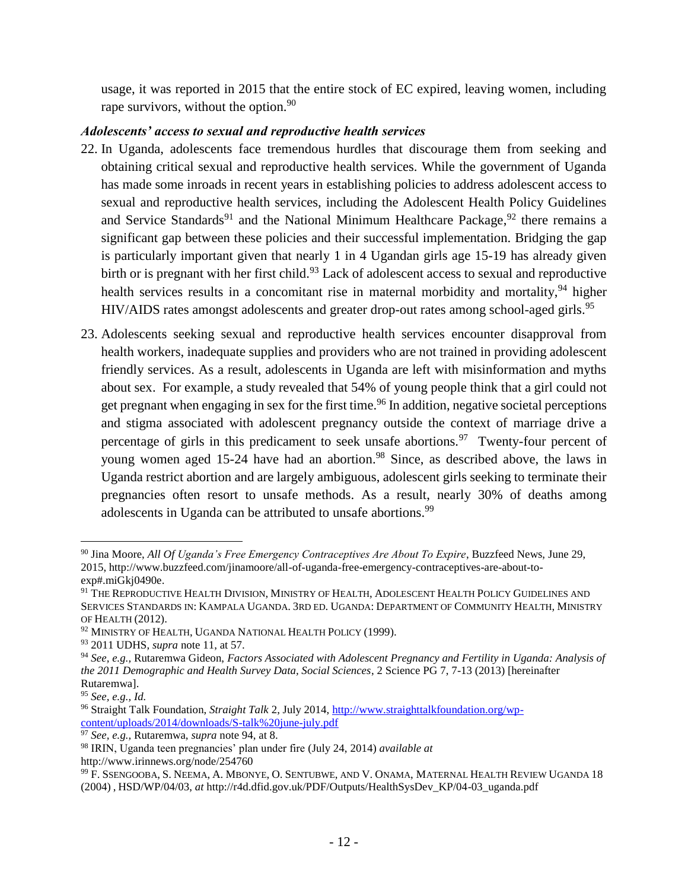usage, it was reported in 2015 that the entire stock of EC expired, leaving women, including rape survivors, without the option.  $90$ 

### *Adolescents' access to sexual and reproductive health services*

- 22. In Uganda, adolescents face tremendous hurdles that discourage them from seeking and obtaining critical sexual and reproductive health services. While the government of Uganda has made some inroads in recent years in establishing policies to address adolescent access to sexual and reproductive health services, including the Adolescent Health Policy Guidelines and Service Standards<sup>91</sup> and the National Minimum Healthcare Package,  $92$  there remains a significant gap between these policies and their successful implementation. Bridging the gap is particularly important given that nearly 1 in 4 Ugandan girls age 15-19 has already given birth or is pregnant with her first child.<sup>93</sup> Lack of adolescent access to sexual and reproductive health services results in a concomitant rise in maternal morbidity and mortality, <sup>94</sup> higher HIV/AIDS rates amongst adolescents and greater drop-out rates among school-aged girls.<sup>95</sup>
- 23. Adolescents seeking sexual and reproductive health services encounter disapproval from health workers, inadequate supplies and providers who are not trained in providing adolescent friendly services. As a result, adolescents in Uganda are left with misinformation and myths about sex. For example, a study revealed that 54% of young people think that a girl could not get pregnant when engaging in sex for the first time.<sup>96</sup> In addition, negative societal perceptions and stigma associated with adolescent pregnancy outside the context of marriage drive a percentage of girls in this predicament to seek unsafe abortions.<sup>97</sup> Twenty-four percent of young women aged 15-24 have had an abortion.<sup>98</sup> Since, as described above, the laws in Uganda restrict abortion and are largely ambiguous, adolescent girls seeking to terminate their pregnancies often resort to unsafe methods. As a result, nearly 30% of deaths among adolescents in Uganda can be attributed to unsafe abortions.<sup>99</sup>

<sup>90</sup> Jina Moore, *All Of Uganda's Free Emergency Contraceptives Are About To Expire*, Buzzfeed News, June 29, 2015, http://www.buzzfeed.com/jinamoore/all-of-uganda-free-emergency-contraceptives-are-about-toexp#.miGkj0490e.

<sup>91</sup> THE REPRODUCTIVE HEALTH DIVISION, MINISTRY OF HEALTH, ADOLESCENT HEALTH POLICY GUIDELINES AND SERVICES STANDARDS IN: KAMPALA UGANDA. 3RD ED. UGANDA: DEPARTMENT OF COMMUNITY HEALTH, MINISTRY OF HEALTH (2012).

<sup>&</sup>lt;sup>92</sup> MINISTRY OF HEALTH, UGANDA NATIONAL HEALTH POLICY (1999).

<sup>93</sup> 2011 UDHS, *supra* note 11, at 57.

<sup>94</sup> *See, e.g.,* Rutaremwa Gideon, *Factors Associated with Adolescent Pregnancy and Fertility in Uganda: Analysis of the 2011 Demographic and Health Survey Data, Social Sciences*, 2 Science PG 7, 7-13 (2013) [hereinafter Rutaremwa].

<sup>95</sup> *See, e.g., Id.*

<sup>96</sup> Straight Talk Foundation, *Straight Talk* 2, July 2014[, http://www.straighttalkfoundation.org/wp](http://www.straighttalkfoundation.org/wp-content/uploads/2014/downloads/S-talk%20june-july.pdf)[content/uploads/2014/downloads/S-talk%20june-july.pdf](http://www.straighttalkfoundation.org/wp-content/uploads/2014/downloads/S-talk%20june-july.pdf)

<sup>97</sup> *See, e.g.,* Rutaremwa, *supra* note 94, at 8.

<sup>98</sup> IRIN, Uganda teen pregnancies' plan under fire (July 24, 2014) *available at* 

http://www.irinnews.org/node/254760

<sup>&</sup>lt;sup>99</sup> F. SSENGOOBA, S. NEEMA, A. MBONYE, O. SENTUBWE, AND V. ONAMA, MATERNAL HEALTH REVIEW UGANDA 18 (2004) , HSD/WP/04/03, *at* http://r4d.dfid.gov.uk/PDF/Outputs/HealthSysDev\_KP/04-03\_uganda.pdf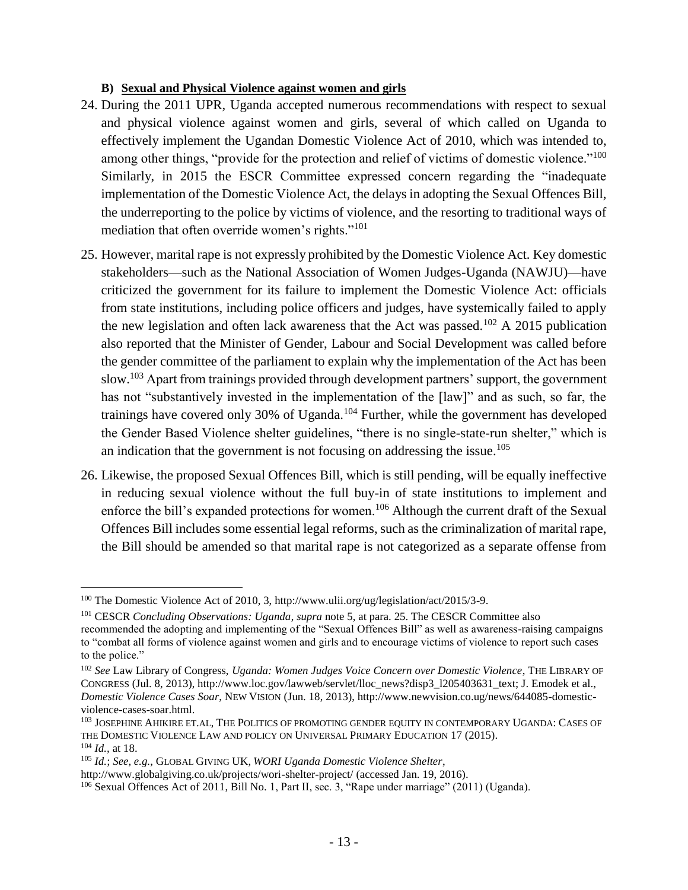#### **B) Sexual and Physical Violence against women and girls**

- 24. During the 2011 UPR, Uganda accepted numerous recommendations with respect to sexual and physical violence against women and girls, several of which called on Uganda to effectively implement the Ugandan Domestic Violence Act of 2010, which was intended to, among other things, "provide for the protection and relief of victims of domestic violence."<sup>100</sup> Similarly, in 2015 the ESCR Committee expressed concern regarding the "inadequate implementation of the Domestic Violence Act, the delays in adopting the Sexual Offences Bill, the underreporting to the police by victims of violence, and the resorting to traditional ways of mediation that often override women's rights."<sup>101</sup>
- 25. However, marital rape is not expressly prohibited by the Domestic Violence Act. Key domestic stakeholders—such as the National Association of Women Judges-Uganda (NAWJU)—have criticized the government for its failure to implement the Domestic Violence Act: officials from state institutions, including police officers and judges, have systemically failed to apply the new legislation and often lack awareness that the Act was passed.<sup>102</sup> A 2015 publication also reported that the Minister of Gender, Labour and Social Development was called before the gender committee of the parliament to explain why the implementation of the Act has been slow.<sup>103</sup> Apart from trainings provided through development partners' support, the government has not "substantively invested in the implementation of the [law]" and as such, so far, the trainings have covered only 30% of Uganda.<sup>104</sup> Further, while the government has developed the Gender Based Violence shelter guidelines, "there is no single-state-run shelter," which is an indication that the government is not focusing on addressing the issue.<sup>105</sup>
- 26. Likewise, the proposed Sexual Offences Bill, which is still pending, will be equally ineffective in reducing sexual violence without the full buy-in of state institutions to implement and enforce the bill's expanded protections for women.<sup>106</sup> Although the current draft of the Sexual Offences Bill includes some essential legal reforms, such as the criminalization of marital rape, the Bill should be amended so that marital rape is not categorized as a separate offense from

<sup>&</sup>lt;sup>100</sup> The Domestic Violence Act of 2010, 3, http://www.ulii.org/ug/legislation/act/2015/3-9.

<sup>101</sup> CESCR *Concluding Observations: Uganda*, *supra* note 5, at para. 25. The CESCR Committee also recommended the adopting and implementing of the "Sexual Offences Bill" as well as awareness-raising campaigns to "combat all forms of violence against women and girls and to encourage victims of violence to report such cases to the police."

<sup>102</sup> *See* Law Library of Congress, *Uganda: Women Judges Voice Concern over Domestic Violence*, THE LIBRARY OF CONGRESS (Jul. 8, 2013), http://www.loc.gov/lawweb/servlet/lloc\_news?disp3\_l205403631\_text; J. Emodek et al., *Domestic Violence Cases Soar*, NEW VISION (Jun. 18, 2013), http://www.newvision.co.ug/news/644085-domesticviolence-cases-soar.html.

<sup>103</sup> JOSEPHINE AHIKIRE ET.AL, THE POLITICS OF PROMOTING GENDER EQUITY IN CONTEMPORARY UGANDA: CASES OF THE DOMESTIC VIOLENCE LAW AND POLICY ON UNIVERSAL PRIMARY EDUCATION 17 (2015). <sup>104</sup> *Id.,* at 18.

<sup>105</sup> *Id.*; *See, e.g.*, GLOBAL GIVING UK, *WORI Uganda Domestic Violence Shelter*,

http://www.globalgiving.co.uk/projects/wori-shelter-project/ (accessed Jan. 19, 2016).

<sup>106</sup> Sexual Offences Act of 2011, Bill No. 1, Part II, sec. 3, "Rape under marriage" (2011) (Uganda).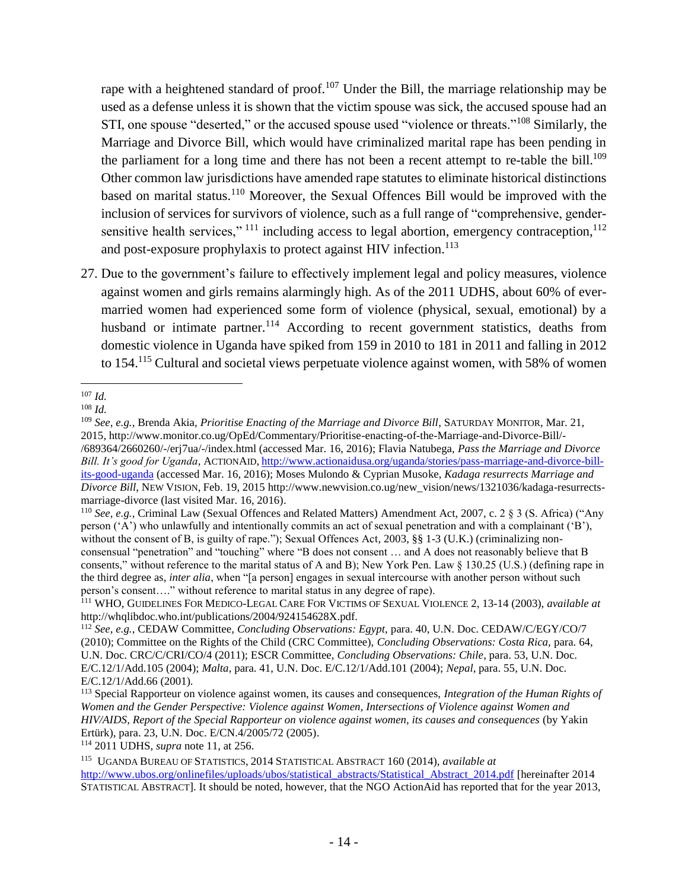rape with a heightened standard of proof.<sup>107</sup> Under the Bill, the marriage relationship may be used as a defense unless it is shown that the victim spouse was sick, the accused spouse had an STI, one spouse "deserted," or the accused spouse used "violence or threats."<sup>108</sup> Similarly, the Marriage and Divorce Bill, which would have criminalized marital rape has been pending in the parliament for a long time and there has not been a recent attempt to re-table the bill.<sup>109</sup> Other common law jurisdictions have amended rape statutes to eliminate historical distinctions based on marital status.<sup>110</sup> Moreover, the Sexual Offences Bill would be improved with the inclusion of services for survivors of violence, such as a full range of "comprehensive, gendersensitive health services,"  $^{111}$  including access to legal abortion, emergency contraception,  $^{112}$ and post-exposure prophylaxis to protect against HIV infection.<sup>113</sup>

27. Due to the government's failure to effectively implement legal and policy measures, violence against women and girls remains alarmingly high. As of the 2011 UDHS, about 60% of evermarried women had experienced some form of violence (physical, sexual, emotional) by a husband or intimate partner.<sup>114</sup> According to recent government statistics, deaths from domestic violence in Uganda have spiked from 159 in 2010 to 181 in 2011 and falling in 2012 to 154.<sup>115</sup> Cultural and societal views perpetuate violence against women, with 58% of women

<sup>114</sup> 2011 UDHS, *supra* note 11, at 256.

 $\overline{a}$ <sup>107</sup> *Id.*

<sup>108</sup> *Id.*

<sup>109</sup> *See, e.g.*, Brenda Akia, *Prioritise Enacting of the Marriage and Divorce Bill*, SATURDAY MONITOR, Mar. 21, 2015, http://www.monitor.co.ug/OpEd/Commentary/Prioritise-enacting-of-the-Marriage-and-Divorce-Bill/- /689364/2660260/-/erj7ua/-/index.html (accessed Mar. 16, 2016); Flavia Natubega, *Pass the Marriage and Divorce Bill. It's good for Uganda*, ACTIONAID, [http://www.actionaidusa.org/uganda/stories/pass-marriage-and-divorce-bill](http://www.actionaidusa.org/uganda/stories/pass-marriage-and-divorce-bill-its-good-uganda)[its-good-uganda](http://www.actionaidusa.org/uganda/stories/pass-marriage-and-divorce-bill-its-good-uganda) (accessed Mar. 16, 2016); Moses Mulondo & Cyprian Musoke, *Kadaga resurrects Marriage and Divorce Bill*, NEW VISION, Feb. 19, 2015 http://www.newvision.co.ug/new\_vision/news/1321036/kadaga-resurrectsmarriage-divorce (last visited Mar. 16, 2016).

<sup>110</sup> *See, e.g.*, Criminal Law (Sexual Offences and Related Matters) Amendment Act, 2007, c. 2 § 3 (S. Africa) ("Any person ('A') who unlawfully and intentionally commits an act of sexual penetration and with a complainant ('B'), without the consent of B, is guilty of rape."); Sexual Offences Act, 2003, §§ 1-3 (U.K.) (criminalizing nonconsensual "penetration" and "touching" where "B does not consent … and A does not reasonably believe that B consents," without reference to the marital status of A and B); New York Pen. Law § 130.25 (U.S.) (defining rape in the third degree as, *inter alia*, when "[a person] engages in sexual intercourse with another person without such person's consent…." without reference to marital status in any degree of rape).

<sup>111</sup> WHO, GUIDELINES FOR MEDICO-LEGAL CARE FOR VICTIMS OF SEXUAL VIOLENCE 2, 13-14 (2003), *available at*  http://whqlibdoc.who.int/publications/2004/924154628X.pdf.

<sup>112</sup> *See*, *e.g.*, CEDAW Committee, *Concluding Observations: Egypt,* para. 40, U.N. Doc. CEDAW/C/EGY/CO/7 (2010); Committee on the Rights of the Child (CRC Committee), *Concluding Observations: Costa Rica,* para. 64, U.N. Doc. CRC/C/CRI/CO/4 (2011); ESCR Committee, *Concluding Observations: Chile*, para. 53, U.N. Doc. E/C.12/1/Add.105 (2004); *Malta*, para. 41, U.N. Doc. E/C.12/1/Add.101 (2004); *Nepal*, para. 55, U.N. Doc. E/C.12/1/Add.66 (2001).

<sup>113</sup> Special Rapporteur on violence against women, its causes and consequences, *Integration of the Human Rights of Women and the Gender Perspective: Violence against Women, Intersections of Violence against Women and HIV/AIDS, Report of the Special Rapporteur on violence against women, its causes and consequences* (by Yakin Ertürk), para. 23, U.N. Doc. E/CN.4/2005/72 (2005).

<sup>115</sup> UGANDA BUREAU OF STATISTICS, 2014 STATISTICAL ABSTRACT 160 (2014), *available at* [http://www.ubos.org/onlinefiles/uploads/ubos/statistical\\_abstracts/Statistical\\_Abstract\\_2014.pdf](http://www.ubos.org/onlinefiles/uploads/ubos/statistical_abstracts/Statistical_Abstract_2014.pdf) [hereinafter 2014 STATISTICAL ABSTRACT]. It should be noted, however, that the NGO ActionAid has reported that for the year 2013,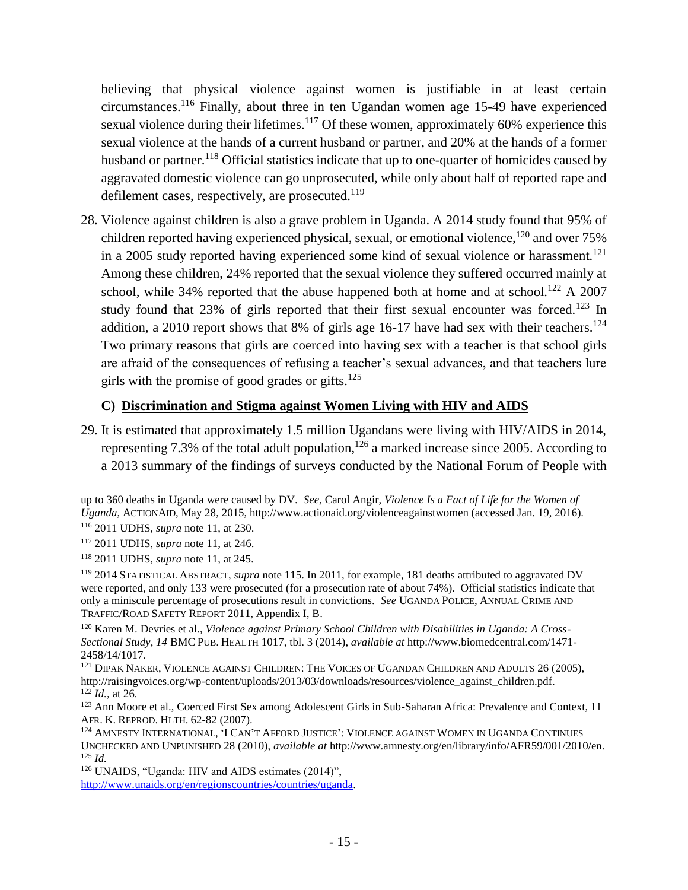believing that physical violence against women is justifiable in at least certain circumstances.<sup>116</sup> Finally, about three in ten Ugandan women age 15-49 have experienced sexual violence during their lifetimes.<sup>117</sup> Of these women, approximately  $60\%$  experience this sexual violence at the hands of a current husband or partner, and 20% at the hands of a former husband or partner.<sup>118</sup> Official statistics indicate that up to one-quarter of homicides caused by aggravated domestic violence can go unprosecuted, while only about half of reported rape and defilement cases, respectively, are prosecuted.<sup>119</sup>

28. Violence against children is also a grave problem in Uganda. A 2014 study found that 95% of children reported having experienced physical, sexual, or emotional violence,  $120$  and over 75% in a 2005 study reported having experienced some kind of sexual violence or harassment.<sup>121</sup> Among these children, 24% reported that the sexual violence they suffered occurred mainly at school, while 34% reported that the abuse happened both at home and at school.<sup>122</sup> A 2007 study found that 23% of girls reported that their first sexual encounter was forced.<sup>123</sup> In addition, a 2010 report shows that 8% of girls age 16-17 have had sex with their teachers.<sup>124</sup> Two primary reasons that girls are coerced into having sex with a teacher is that school girls are afraid of the consequences of refusing a teacher's sexual advances, and that teachers lure girls with the promise of good grades or gifts. $125$ 

#### **C) Discrimination and Stigma against Women Living with HIV and AIDS**

29. It is estimated that approximately 1.5 million Ugandans were living with HIV/AIDS in 2014, representing 7.3% of the total adult population,  $126$  a marked increase since 2005. According to a 2013 summary of the findings of surveys conducted by the National Forum of People with

up to 360 deaths in Uganda were caused by DV. *See,* Carol Angir, *Violence Is a Fact of Life for the Women of Uganda*, ACTIONAID, May 28, 2015, http://www.actionaid.org/violenceagainstwomen (accessed Jan. 19, 2016).

<sup>116</sup> 2011 UDHS, *supra* note 11, at 230.

<sup>117</sup> 2011 UDHS, *supra* note 11, at 246.

<sup>118</sup> 2011 UDHS, *supra* note 11, at 245.

<sup>119</sup> 2014 STATISTICAL ABSTRACT, *supra* note 115. In 2011, for example, 181 deaths attributed to aggravated DV were reported, and only 133 were prosecuted (for a prosecution rate of about 74%). Official statistics indicate that only a miniscule percentage of prosecutions result in convictions. *See* UGANDA POLICE, ANNUAL CRIME AND TRAFFIC/ROAD SAFETY REPORT 2011, Appendix I, B.

<sup>120</sup> Karen M. Devries et al., *Violence against Primary School Children with Disabilities in Uganda: A Cross-Sectional Study, 14* BMC PUB. HEALTH 1017, tbl. 3 (2014), *available at* http://www.biomedcentral.com/1471- 2458/14/1017.

<sup>&</sup>lt;sup>121</sup> DIPAK NAKER, VIOLENCE AGAINST CHILDREN: THE VOICES OF UGANDAN CHILDREN AND ADULTS 26 (2005), http://raisingvoices.org/wp-content/uploads/2013/03/downloads/resources/violence\_against\_children.pdf. <sup>122</sup> *Id.,* at 26*.*

<sup>&</sup>lt;sup>123</sup> Ann Moore et al., Coerced First Sex among Adolescent Girls in Sub-Saharan Africa: Prevalence and Context, 11 AFR. K. REPROD. HLTH. 62-82 (2007).

<sup>124</sup> AMNESTY INTERNATIONAL, 'I CAN'T AFFORD JUSTICE': VIOLENCE AGAINST WOMEN IN UGANDA CONTINUES UNCHECKED AND UNPUNISHED 28 (2010), *available at* http://www.amnesty.org/en/library/info/AFR59/001/2010/en. <sup>125</sup> *Id.*

<sup>126</sup> UNAIDS, "Uganda: HIV and AIDS estimates (2014)",

[http://www.unaids.org/en/regionscountries/countries/uganda.](http://www.unaids.org/en/regionscountries/countries/uganda)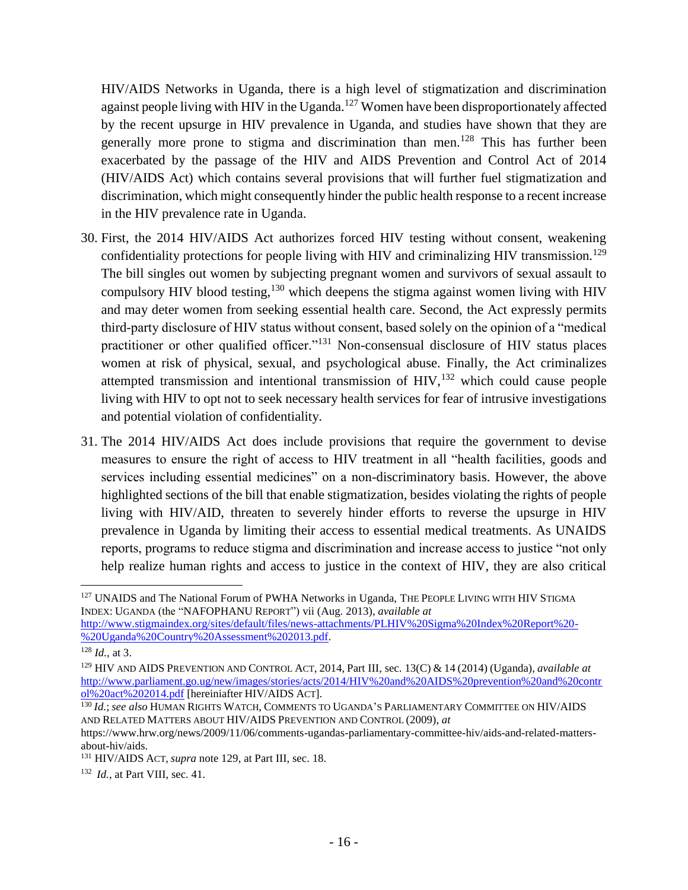HIV/AIDS Networks in Uganda, there is a high level of stigmatization and discrimination against people living with HIV in the Uganda.<sup>127</sup> Women have been disproportionately affected by the recent upsurge in HIV prevalence in Uganda, and studies have shown that they are generally more prone to stigma and discrimination than men.<sup>128</sup> This has further been exacerbated by the passage of the HIV and AIDS Prevention and Control Act of 2014 (HIV/AIDS Act) which contains several provisions that will further fuel stigmatization and discrimination, which might consequently hinder the public health response to a recent increase in the HIV prevalence rate in Uganda.

- 30. First, the 2014 HIV/AIDS Act authorizes forced HIV testing without consent, weakening confidentiality protections for people living with HIV and criminalizing HIV transmission.<sup>129</sup> The bill singles out women by subjecting pregnant women and survivors of sexual assault to compulsory HIV blood testing,  $130$  which deepens the stigma against women living with HIV and may deter women from seeking essential health care. Second, the Act expressly permits third-party disclosure of HIV status without consent, based solely on the opinion of a "medical practitioner or other qualified officer."<sup>131</sup> Non-consensual disclosure of HIV status places women at risk of physical, sexual, and psychological abuse. Finally, the Act criminalizes attempted transmission and intentional transmission of  $HIV$ ,<sup>132</sup> which could cause people living with HIV to opt not to seek necessary health services for fear of intrusive investigations and potential violation of confidentiality.
- 31. The 2014 HIV/AIDS Act does include provisions that require the government to devise measures to ensure the right of access to HIV treatment in all "health facilities, goods and services including essential medicines" on a non-discriminatory basis. However, the above highlighted sections of the bill that enable stigmatization, besides violating the rights of people living with HIV/AID, threaten to severely hinder efforts to reverse the upsurge in HIV prevalence in Uganda by limiting their access to essential medical treatments. As UNAIDS reports, programs to reduce stigma and discrimination and increase access to justice "not only help realize human rights and access to justice in the context of HIV, they are also critical

<sup>&</sup>lt;sup>127</sup> UNAIDS and The National Forum of PWHA Networks in Uganda, THE PEOPLE LIVING WITH HIV STIGMA INDEX: UGANDA (the "NAFOPHANU REPORT") vii (Aug. 2013), *available at* [http://www.stigmaindex.org/sites/default/files/news-attachments/PLHIV%20Sigma%20Index%20Report%20-](http://www.stigmaindex.org/sites/default/files/news-attachments/PLHIV%20Sigma%20Index%20Report%20-%20Uganda%20Country%20Assessment%202013.pdf) [%20Uganda%20Country%20Assessment%202013.pdf.](http://www.stigmaindex.org/sites/default/files/news-attachments/PLHIV%20Sigma%20Index%20Report%20-%20Uganda%20Country%20Assessment%202013.pdf)

<sup>128</sup> *Id.,* at 3.

<sup>129</sup> HIV AND AIDS PREVENTION AND CONTROL ACT*,* 2014, Part III, sec. 13(C) & 14 (2014) (Uganda), *available at* [http://www.parliament.go.ug/new/images/stories/acts/2014/HIV%20and%20AIDS%20prevention%20and%20contr](http://www.parliament.go.ug/new/images/stories/acts/2014/HIV%20and%20AIDS%20prevention%20and%20control%20act%202014.pdf) [ol%20act%202014.pdf](http://www.parliament.go.ug/new/images/stories/acts/2014/HIV%20and%20AIDS%20prevention%20and%20control%20act%202014.pdf) [hereiniafter HIV/AIDS ACT].

<sup>130</sup> *Id.*; *see also* HUMAN RIGHTS WATCH, COMMENTS TO UGANDA'S PARLIAMENTARY COMMITTEE ON HIV/AIDS AND RELATED MATTERS ABOUT HIV/AIDS PREVENTION AND CONTROL (2009), *at* 

https://www.hrw.org/news/2009/11/06/comments-ugandas-parliamentary-committee-hiv/aids-and-related-mattersabout-hiv/aids.

<sup>131</sup> HIV/AIDS ACT, *supra* note 129, at Part III, sec. 18.

<sup>132</sup> *Id.*, at Part VIII, sec. 41.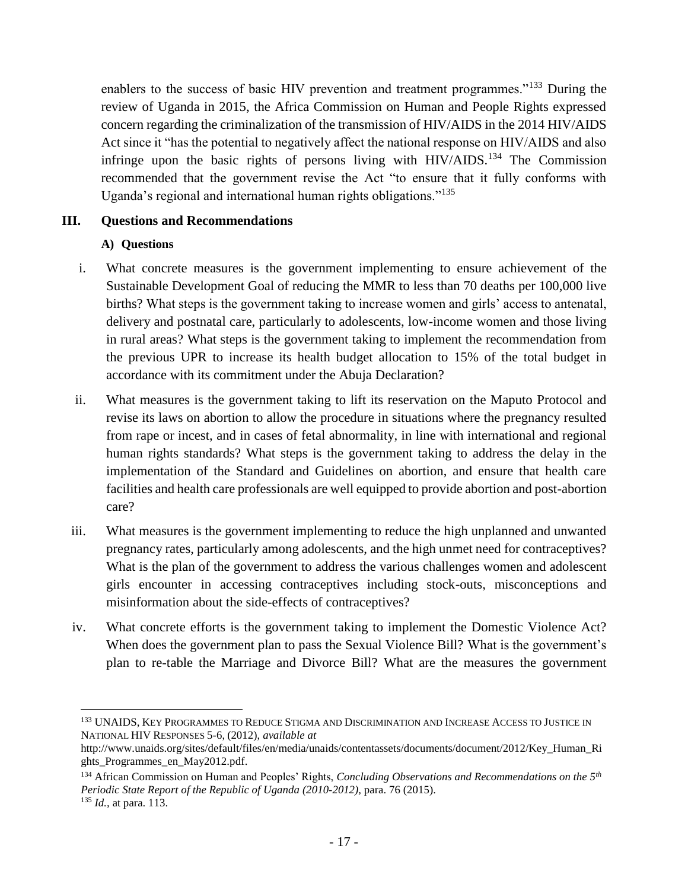enablers to the success of basic HIV prevention and treatment programmes."<sup>133</sup> During the review of Uganda in 2015, the Africa Commission on Human and People Rights expressed concern regarding the criminalization of the transmission of HIV/AIDS in the 2014 HIV/AIDS Act since it "has the potential to negatively affect the national response on HIV/AIDS and also infringe upon the basic rights of persons living with HIV/AIDS.<sup>134</sup> The Commission recommended that the government revise the Act "to ensure that it fully conforms with Uganda's regional and international human rights obligations."<sup>135</sup>

#### **III. Questions and Recommendations**

#### **A) Questions**

- i. What concrete measures is the government implementing to ensure achievement of the Sustainable Development Goal of reducing the MMR to less than 70 deaths per 100,000 live births? What steps is the government taking to increase women and girls' access to antenatal, delivery and postnatal care, particularly to adolescents, low-income women and those living in rural areas? What steps is the government taking to implement the recommendation from the previous UPR to increase its health budget allocation to 15% of the total budget in accordance with its commitment under the Abuja Declaration?
- ii. What measures is the government taking to lift its reservation on the Maputo Protocol and revise its laws on abortion to allow the procedure in situations where the pregnancy resulted from rape or incest, and in cases of fetal abnormality, in line with international and regional human rights standards? What steps is the government taking to address the delay in the implementation of the Standard and Guidelines on abortion, and ensure that health care facilities and health care professionals are well equipped to provide abortion and post-abortion care?
- iii. What measures is the government implementing to reduce the high unplanned and unwanted pregnancy rates, particularly among adolescents, and the high unmet need for contraceptives? What is the plan of the government to address the various challenges women and adolescent girls encounter in accessing contraceptives including stock-outs, misconceptions and misinformation about the side-effects of contraceptives?
- iv. What concrete efforts is the government taking to implement the Domestic Violence Act? When does the government plan to pass the Sexual Violence Bill? What is the government's plan to re-table the Marriage and Divorce Bill? What are the measures the government

<sup>133</sup> UNAIDS, KEY PROGRAMMES TO REDUCE STIGMA AND DISCRIMINATION AND INCREASE ACCESS TO JUSTICE IN NATIONAL HIV RESPONSES 5-6, (2012), *available at* 

http://www.unaids.org/sites/default/files/en/media/unaids/contentassets/documents/document/2012/Key\_Human\_Ri ghts\_Programmes\_en\_May2012.pdf.

<sup>134</sup> African Commission on Human and Peoples' Rights, *Concluding Observations and Recommendations on the 5th Periodic State Report of the Republic of Uganda (2010-2012),* para. 76 (2015). <sup>135</sup> *Id.,* at para. 113.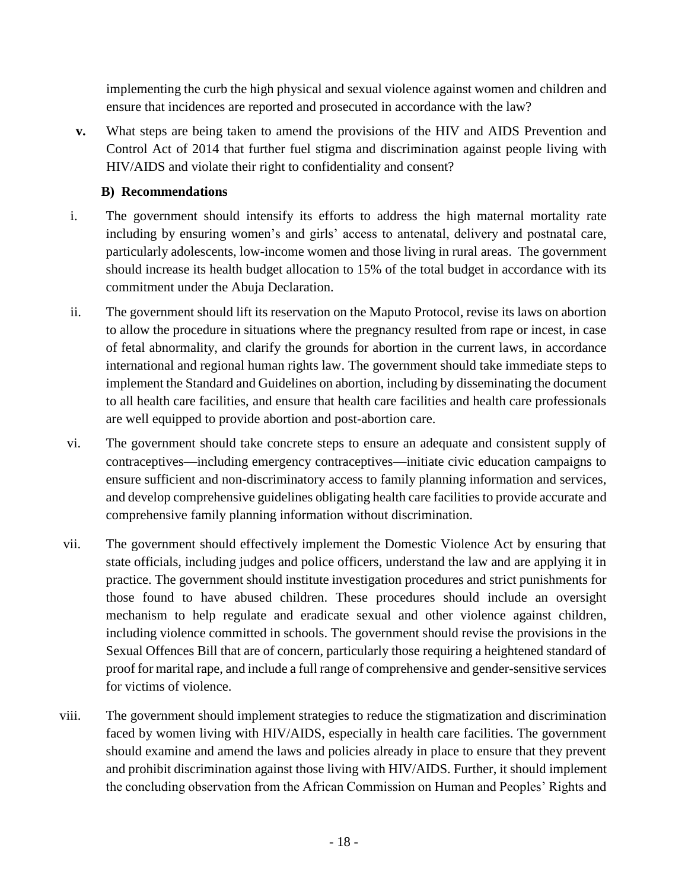implementing the curb the high physical and sexual violence against women and children and ensure that incidences are reported and prosecuted in accordance with the law?

**v.** What steps are being taken to amend the provisions of the HIV and AIDS Prevention and Control Act of 2014 that further fuel stigma and discrimination against people living with HIV/AIDS and violate their right to confidentiality and consent?

# **B) Recommendations**

- i. The government should intensify its efforts to address the high maternal mortality rate including by ensuring women's and girls' access to antenatal, delivery and postnatal care, particularly adolescents, low-income women and those living in rural areas. The government should increase its health budget allocation to 15% of the total budget in accordance with its commitment under the Abuja Declaration.
- ii. The government should lift its reservation on the Maputo Protocol, revise its laws on abortion to allow the procedure in situations where the pregnancy resulted from rape or incest, in case of fetal abnormality, and clarify the grounds for abortion in the current laws, in accordance international and regional human rights law. The government should take immediate steps to implement the Standard and Guidelines on abortion, including by disseminating the document to all health care facilities, and ensure that health care facilities and health care professionals are well equipped to provide abortion and post-abortion care.
- vi. The government should take concrete steps to ensure an adequate and consistent supply of contraceptives—including emergency contraceptives—initiate civic education campaigns to ensure sufficient and non-discriminatory access to family planning information and services, and develop comprehensive guidelines obligating health care facilities to provide accurate and comprehensive family planning information without discrimination.
- vii. The government should effectively implement the Domestic Violence Act by ensuring that state officials, including judges and police officers, understand the law and are applying it in practice. The government should institute investigation procedures and strict punishments for those found to have abused children. These procedures should include an oversight mechanism to help regulate and eradicate sexual and other violence against children, including violence committed in schools. The government should revise the provisions in the Sexual Offences Bill that are of concern, particularly those requiring a heightened standard of proof for marital rape, and include a full range of comprehensive and gender-sensitive services for victims of violence.
- viii. The government should implement strategies to reduce the stigmatization and discrimination faced by women living with HIV/AIDS, especially in health care facilities. The government should examine and amend the laws and policies already in place to ensure that they prevent and prohibit discrimination against those living with HIV/AIDS. Further, it should implement the concluding observation from the African Commission on Human and Peoples' Rights and